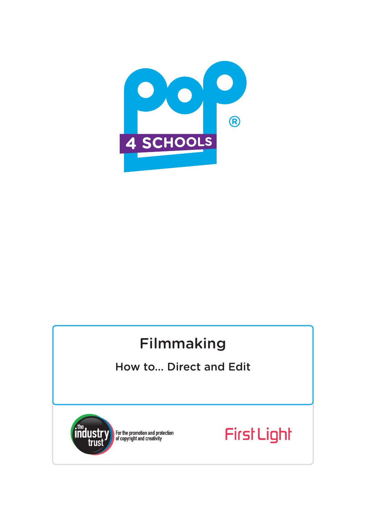

# Filmmaking

## How to... Direct and Edit



For the promotion and protection<br>of copyright and creativity

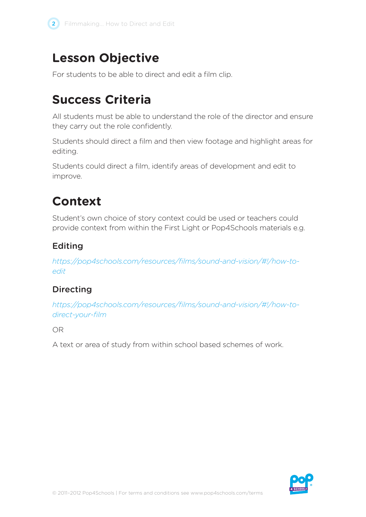

## **Lesson Objective**

For students to be able to direct and edit a film clip.

## **Success Criteria**

All students must be able to understand the role of the director and ensure they carry out the role confidently.

Students should direct a film and then view footage and highlight areas for editing.

Students could direct a film, identify areas of development and edit to improve.

## **Context**

Student's own choice of story context could be used or teachers could provide context from within the First Light or Pop4Schools materials e.g.

## Editing

*https://pop4schools.com/resources/films/sound-and-vision/#!/how-toedit*

## Directing

*https://pop4schools.com/resources/films/sound-and-vision/#!/how-todirect-your-film*

OR

A text or area of study from within school based schemes of work.

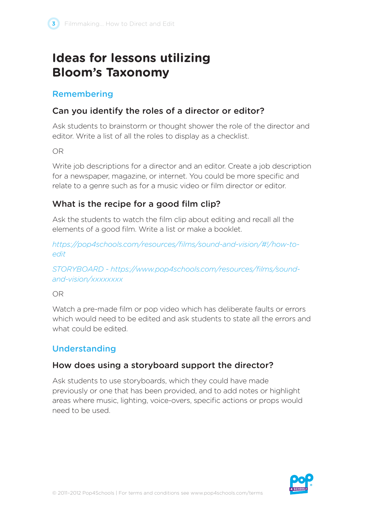## **Ideas for lessons utilizing Bloom's Taxonomy**

#### Remembering

## Can you identify the roles of a director or editor?

Ask students to brainstorm or thought shower the role of the director and editor. Write a list of all the roles to display as a checklist.

OR

Write job descriptions for a director and an editor. Create a job description for a newspaper, magazine, or internet. You could be more specific and relate to a genre such as for a music video or film director or editor.

## What is the recipe for a good film clip?

Ask the students to watch the film clip about editing and recall all the elements of a good film. Write a list or make a booklet.

*https://pop4schools.com/resources/films/sound-and-vision/#!/how-toedit*

*STORYBOARD - https://www.pop4schools.com/resources/films/soundand-vision/xxxxxxxx*

OR

Watch a pre-made film or pop video which has deliberate faults or errors which would need to be edited and ask students to state all the errors and what could be edited.

## Understanding

## How does using a storyboard support the director?

Ask students to use storyboards, which they could have made previously or one that has been provided, and to add notes or highlight areas where music, lighting, voice-overs, specific actions or props would need to be used.

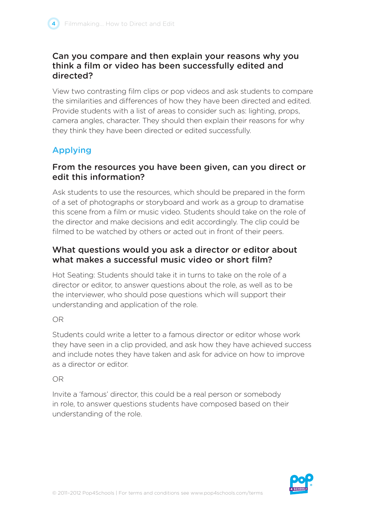#### Can you compare and then explain your reasons why you think a film or video has been successfully edited and directed?

View two contrasting film clips or pop videos and ask students to compare the similarities and differences of how they have been directed and edited. Provide students with a list of areas to consider such as: lighting, props, camera angles, character. They should then explain their reasons for why they think they have been directed or edited successfully.

## Applying

#### From the resources you have been given, can you direct or edit this information?

Ask students to use the resources, which should be prepared in the form of a set of photographs or storyboard and work as a group to dramatise this scene from a film or music video. Students should take on the role of the director and make decisions and edit accordingly. The clip could be filmed to be watched by others or acted out in front of their peers.

#### What questions would you ask a director or editor about what makes a successful music video or short film?

Hot Seating: Students should take it in turns to take on the role of a director or editor, to answer questions about the role, as well as to be the interviewer, who should pose questions which will support their understanding and application of the role.

OR

Students could write a letter to a famous director or editor whose work they have seen in a clip provided, and ask how they have achieved success and include notes they have taken and ask for advice on how to improve as a director or editor.

#### OR

Invite a 'famous' director, this could be a real person or somebody in role, to answer questions students have composed based on their understanding of the role.

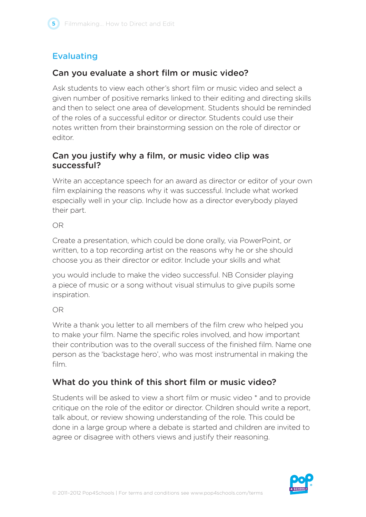## Evaluating

## Can you evaluate a short film or music video?

Ask students to view each other's short film or music video and select a given number of positive remarks linked to their editing and directing skills and then to select one area of development. Students should be reminded of the roles of a successful editor or director. Students could use their notes written from their brainstorming session on the role of director or editor.

## Can you justify why a film, or music video clip was successful?

Write an acceptance speech for an award as director or editor of your own film explaining the reasons why it was successful. Include what worked especially well in your clip. Include how as a director everybody played their part.

OR

Create a presentation, which could be done orally, via PowerPoint, or written, to a top recording artist on the reasons why he or she should choose you as their director or editor. Include your skills and what

you would include to make the video successful. NB Consider playing a piece of music or a song without visual stimulus to give pupils some inspiration.

OR

Write a thank you letter to all members of the film crew who helped you to make your film. Name the specific roles involved, and how important their contribution was to the overall success of the finished film. Name one person as the 'backstage hero', who was most instrumental in making the film.

## What do you think of this short film or music video?

Students will be asked to view a short film or music video \* and to provide critique on the role of the editor or director. Children should write a report, talk about, or review showing understanding of the role. This could be done in a large group where a debate is started and children are invited to agree or disagree with others views and justify their reasoning.